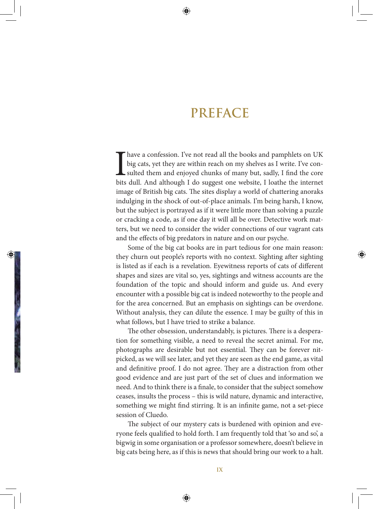# **PreFaCe**

Thave a confession. I've not read all the books and pamphlets on UK big cats, yet they are within reach on my shelves as I write. I've consulted them and enjoyed chunks of many but, sadly, I find the core bits dull. And al big cats, yet they are within reach on my shelves as I write. I've consulted them and enjoyed chunks of many but, sadly, I find the core bits dull. And although I do suggest one website, I loathe the internet image of British big cats. The sites display a world of chattering anoraks indulging in the shock of out-of-place animals. I'm being harsh, I know, but the subject is portrayed as if it were little more than solving a puzzle or cracking a code, as if one day it will all be over. Detective work matters, but we need to consider the wider connections of our vagrant cats and the effects of big predators in nature and on our psyche.

Some of the big cat books are in part tedious for one main reason: they churn out people's reports with no context. Sighting after sighting is listed as if each is a revelation. Eyewitness reports of cats of different shapes and sizes are vital so, yes, sightings and witness accounts are the foundation of the topic and should inform and guide us. And every encounter with a possible big cat is indeed noteworthy to the people and for the area concerned. But an emphasis on sightings can be overdone. Without analysis, they can dilute the essence. I may be guilty of this in what follows, but I have tried to strike a balance.

The other obsession, understandably, is pictures. There is a desperation for something visible, a need to reveal the secret animal. For me, photographs are desirable but not essential. They can be forever nitpicked, as we will see later, and yet they are seen as the end game, as vital and definitive proof. I do not agree. They are a distraction from other good evidence and are just part of the set of clues and information we need. And to think there is a finale, to consider that the subject somehow ceases, insults the process – this is wild nature, dynamic and interactive, something we might find stirring. It is an infinite game, not a set-piece session of Cluedo.

The subject of our mystery cats is burdened with opinion and everyone feels qualified to hold forth. I am frequently told that 'so and so', a bigwig in some organisation or a professor somewhere, doesn't believe in big cats being here, as if this is news that should bring our work to a halt.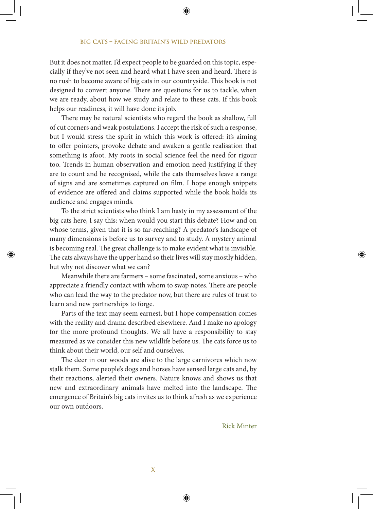But it does not matter. I'd expect people to be guarded on this topic, especially if they've not seen and heard what I have seen and heard. There is no rush to become aware of big cats in our countryside. This book is not designed to convert anyone. There are questions for us to tackle, when we are ready, about how we study and relate to these cats. If this book helps our readiness, it will have done its job.

There may be natural scientists who regard the book as shallow, full of cut corners and weak postulations. I accept the risk of such a response, but I would stress the spirit in which this work is offered: it's aiming to offer pointers, provoke debate and awaken a gentle realisation that something is afoot. My roots in social science feel the need for rigour too. Trends in human observation and emotion need justifying if they are to count and be recognised, while the cats themselves leave a range of signs and are sometimes captured on film. I hope enough snippets of evidence are offered and claims supported while the book holds its audience and engages minds.

To the strict scientists who think I am hasty in my assessment of the big cats here, I say this: when would you start this debate? How and on whose terms, given that it is so far-reaching? A predator's landscape of many dimensions is before us to survey and to study. A mystery animal is becoming real. The great challenge is to make evident what is invisible. The cats always have the upper hand so their lives will stay mostly hidden, but why not discover what we can?

Meanwhile there are farmers – some fascinated, some anxious – who appreciate a friendly contact with whom to swap notes. There are people who can lead the way to the predator now, but there are rules of trust to learn and new partnerships to forge.

Parts of the text may seem earnest, but I hope compensation comes with the reality and drama described elsewhere. And I make no apology for the more profound thoughts. We all have a responsibility to stay measured as we consider this new wildlife before us. The cats force us to think about their world, our self and ourselves.

The deer in our woods are alive to the large carnivores which now stalk them. Some people's dogs and horses have sensed large cats and, by their reactions, alerted their owners. Nature knows and shows us that new and extraordinary animals have melted into the landscape. The emergence of Britain's big cats invites us to think afresh as we experience our own outdoors.

Rick Minter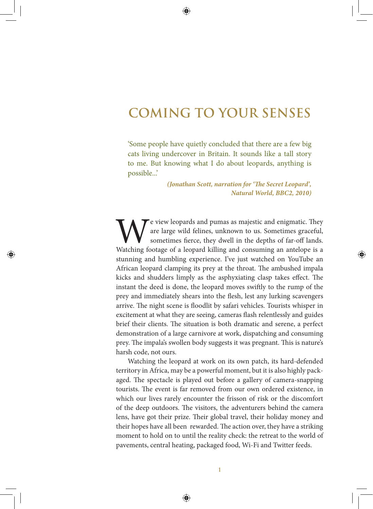'Some people have quietly concluded that there are a few big cats living undercover in Britain. It sounds like a tall story to me. But knowing what I do about leopards, anything is possible...'

> *(Jonathan Scott, narration for 'The Secret Leopard', Natural World, BBC2, 2010)*

We view leopards and pumas as majestic and enigmatic. They are large wild felines, unknown to us. Sometimes graceful, sometimes fierce, they dwell in the depths of far-off lands. Watching footage of a leopard killing and c are large wild felines, unknown to us. Sometimes graceful, sometimes fierce, they dwell in the depths of far-off lands. Watching footage of a leopard killing and consuming an antelope is a stunning and humbling experience. I've just watched on YouTube an African leopard clamping its prey at the throat. The ambushed impala kicks and shudders limply as the asphyxiating clasp takes effect. The instant the deed is done, the leopard moves swiftly to the rump of the prey and immediately shears into the flesh, lest any lurking scavengers arrive. The night scene is floodlit by safari vehicles. Tourists whisper in excitement at what they are seeing, cameras flash relentlessly and guides brief their clients. The situation is both dramatic and serene, a perfect demonstration of a large carnivore at work, dispatching and consuming prey. The impala's swollen body suggests it was pregnant. This is nature's harsh code, not ours.

Watching the leopard at work on its own patch, its hard-defended territory in Africa, may be a powerful moment, but it is also highly packaged. The spectacle is played out before a gallery of camera-snapping tourists. The event is far removed from our own ordered existence, in which our lives rarely encounter the frisson of risk or the discomfort of the deep outdoors. The visitors, the adventurers behind the camera lens, have got their prize. Their global travel, their holiday money and their hopes have all been rewarded. The action over, they have a striking moment to hold on to until the reality check: the retreat to the world of pavements, central heating, packaged food, Wi-Fi and Twitter feeds.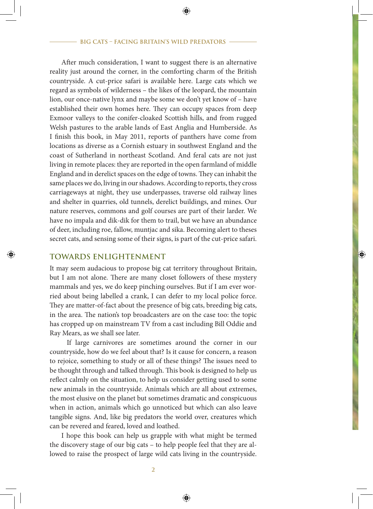After much consideration, I want to suggest there is an alternative reality just around the corner, in the comforting charm of the British countryside. A cut-price safari is available here. Large cats which we regard as symbols of wilderness – the likes of the leopard, the mountain lion, our once-native lynx and maybe some we don't yet know of – have established their own homes here. They can occupy spaces from deep Exmoor valleys to the conifer-cloaked Scottish hills, and from rugged Welsh pastures to the arable lands of East Anglia and Humberside. As I finish this book, in May 2011, reports of panthers have come from locations as diverse as a Cornish estuary in southwest England and the coast of Sutherland in northeast Scotland. And feral cats are not just living in remote places: they are reported in the open farmland of middle England and in derelict spaces on the edge of towns. They can inhabit the same places we do, living in our shadows. According to reports, they cross carriageways at night, they use underpasses, traverse old railway lines and shelter in quarries, old tunnels, derelict buildings, and mines. Our nature reserves, commons and golf courses are part of their larder. We have no impala and dik-dik for them to trail, but we have an abundance of deer, including roe, fallow, muntjac and sika. Becoming alert to theses secret cats, and sensing some of their signs, is part of the cut-price safari.

## **towards enlightenment**

It may seem audacious to propose big cat territory throughout Britain, but I am not alone. There are many closet followers of these mystery mammals and yes, we do keep pinching ourselves. But if I am ever worried about being labelled a crank, I can defer to my local police force. They are matter-of-fact about the presence of big cats, breeding big cats, in the area. The nation's top broadcasters are on the case too: the topic has cropped up on mainstream TV from a cast including Bill Oddie and Ray Mears, as we shall see later.

If large carnivores are sometimes around the corner in our countryside, how do we feel about that? Is it cause for concern, a reason to rejoice, something to study or all of these things? The issues need to be thought through and talked through. This book is designed to help us reflect calmly on the situation, to help us consider getting used to some new animals in the countryside. Animals which are all about extremes, the most elusive on the planet but sometimes dramatic and conspicuous when in action, animals which go unnoticed but which can also leave tangible signs. And, like big predators the world over, creatures which can be revered and feared, loved and loathed.

I hope this book can help us grapple with what might be termed the discovery stage of our big cats – to help people feel that they are allowed to raise the prospect of large wild cats living in the countryside.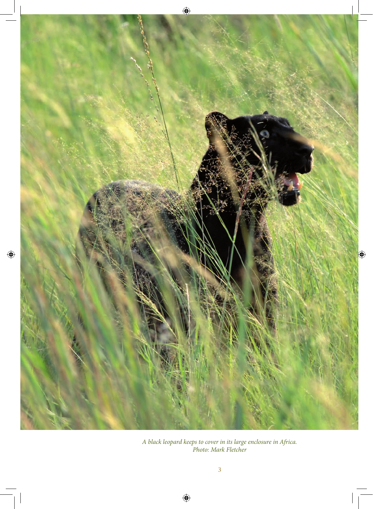

*A black leopard keeps to cover in its large enclosure in Africa. Photo: Mark Fletcher*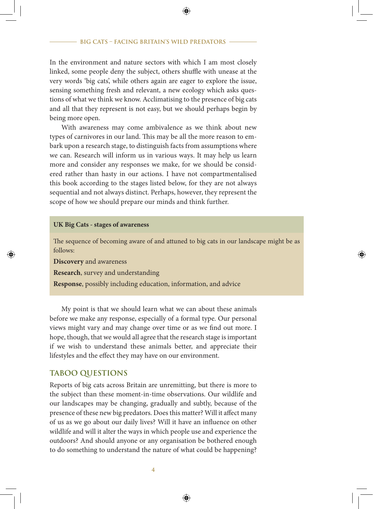In the environment and nature sectors with which I am most closely linked, some people deny the subject, others shuffle with unease at the very words 'big cats', while others again are eager to explore the issue, sensing something fresh and relevant, a new ecology which asks questions of what we think we know. Acclimatising to the presence of big cats and all that they represent is not easy, but we should perhaps begin by being more open.

With awareness may come ambivalence as we think about new types of carnivores in our land. This may be all the more reason to embark upon a research stage, to distinguish facts from assumptions where we can. Research will inform us in various ways. It may help us learn more and consider any responses we make, for we should be considered rather than hasty in our actions. I have not compartmentalised this book according to the stages listed below, for they are not always sequential and not always distinct. Perhaps, however, they represent the scope of how we should prepare our minds and think further.

#### **UK Big Cats - stages of awareness**

The sequence of becoming aware of and attuned to big cats in our landscape might be as follows:

**Discovery** and awareness

**Research**, survey and understanding

**Response**, possibly including education, information, and advice

My point is that we should learn what we can about these animals before we make any response, especially of a formal type. Our personal views might vary and may change over time or as we find out more. I hope, though, that we would all agree that the research stage is important if we wish to understand these animals better, and appreciate their lifestyles and the effect they may have on our environment.

### **taBoo questions**

Reports of big cats across Britain are unremitting, but there is more to the subject than these moment-in-time observations. Our wildlife and our landscapes may be changing, gradually and subtly, because of the presence of these new big predators. Does this matter? Will it affect many of us as we go about our daily lives? Will it have an influence on other wildlife and will it alter the ways in which people use and experience the outdoors? And should anyone or any organisation be bothered enough to do something to understand the nature of what could be happening?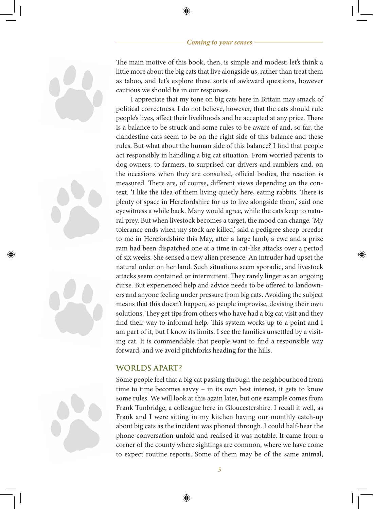The main motive of this book, then, is simple and modest: let's think a little more about the big cats that live alongside us, rather than treat them as taboo, and let's explore these sorts of awkward questions, however cautious we should be in our responses.

I appreciate that my tone on big cats here in Britain may smack of political correctness. I do not believe, however, that the cats should rule people's lives, affect their livelihoods and be accepted at any price. There is a balance to be struck and some rules to be aware of and, so far, the clandestine cats seem to be on the right side of this balance and these rules. But what about the human side of this balance? I find that people act responsibly in handling a big cat situation. From worried parents to dog owners, to farmers, to surprised car drivers and ramblers and, on the occasions when they are consulted, official bodies, the reaction is measured. There are, of course, different views depending on the context. 'I like the idea of them living quietly here, eating rabbits. There is plenty of space in Herefordshire for us to live alongside them,' said one eyewitness a while back. Many would agree, while the cats keep to natural prey. But when livestock becomes a target, the mood can change. 'My tolerance ends when my stock are killed,' said a pedigree sheep breeder to me in Herefordshire this May, after a large lamb, a ewe and a prize ram had been dispatched one at a time in cat-like attacks over a period of six weeks. She sensed a new alien presence. An intruder had upset the natural order on her land. Such situations seem sporadic, and livestock attacks seem contained or intermittent. They rarely linger as an ongoing curse. But experienced help and advice needs to be offered to landowners and anyone feeling under pressure from big cats. Avoiding the subject means that this doesn't happen, so people improvise, devising their own solutions. They get tips from others who have had a big cat visit and they find their way to informal help. This system works up to a point and I am part of it, but I know its limits. I see the families unsettled by a visiting cat. It is commendable that people want to find a responsible way forward, and we avoid pitchforks heading for the hills.

## **worlds aPart?**

Some people feel that a big cat passing through the neighbourhood from time to time becomes savvy – in its own best interest, it gets to know some rules. We will look at this again later, but one example comes from Frank Tunbridge, a colleague here in Gloucestershire. I recall it well, as Frank and I were sitting in my kitchen having our monthly catch-up about big cats as the incident was phoned through. I could half-hear the phone conversation unfold and realised it was notable. It came from a corner of the county where sightings are common, where we have come to expect routine reports. Some of them may be of the same animal,

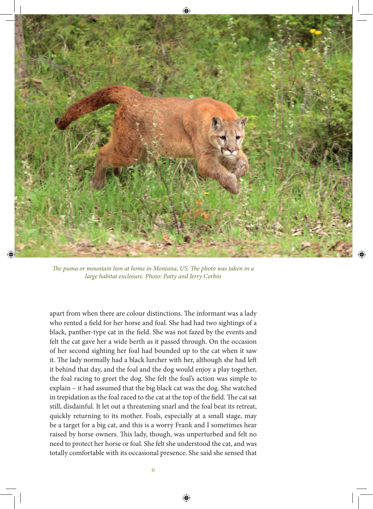

*The puma or mountain lion at home in Montana, US. The photo was taken in a large habitat enclosure. Photo: Patty and Jerry Corbin* 

apart from when there are colour distinctions. The informant was a lady who rented a field for her horse and foal. She had had two sightings of a black, panther-type cat in the field. She was not fazed by the events and felt the cat gave her a wide berth as it passed through. On the occasion of her second sighting her foal had bounded up to the cat when it saw it. The lady normally had a black lurcher with her, although she had left it behind that day, and the foal and the dog would enjoy a play together, the foal racing to greet the dog. She felt the foal's action was simple to explain – it had assumed that the big black cat was the dog. She watched in trepidation as the foal raced to the cat at the top of the field. The cat sat still, disdainful. It let out a threatening snarl and the foal beat its retreat, quickly returning to its mother. Foals, especially at a small stage, may be a target for a big cat, and this is a worry Frank and I sometimes hear raised by horse owners. This lady, though, was unperturbed and felt no need to protect her horse or foal. She felt she understood the cat, and was totally comfortable with its occasional presence. She said she sensed that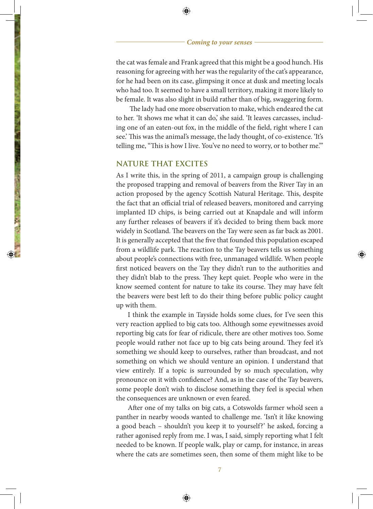the cat was female and Frank agreed that this might be a good hunch. His reasoning for agreeing with her was the regularity of the cat's appearance, for he had been on its case, glimpsing it once at dusk and meeting locals who had too. It seemed to have a small territory, making it more likely to be female. It was also slight in build rather than of big, swaggering form.

The lady had one more observation to make, which endeared the cat to her. 'It shows me what it can do,' she said. 'It leaves carcasses, including one of an eaten-out fox, in the middle of the field, right where I can see.' This was the animal's message, the lady thought, of co-existence. 'It's telling me, "This is how I live. You've no need to worry, or to bother me."'

## **nature that exCites**

As I write this, in the spring of 2011, a campaign group is challenging the proposed trapping and removal of beavers from the River Tay in an action proposed by the agency Scottish Natural Heritage. This, despite the fact that an official trial of released beavers, monitored and carrying implanted ID chips, is being carried out at Knapdale and will inform any further releases of beavers if it's decided to bring them back more widely in Scotland. The beavers on the Tay were seen as far back as 2001. It is generally accepted that the five that founded this population escaped from a wildlife park. The reaction to the Tay beavers tells us something about people's connections with free, unmanaged wildlife. When people first noticed beavers on the Tay they didn't run to the authorities and they didn't blab to the press. They kept quiet. People who were in the know seemed content for nature to take its course. They may have felt the beavers were best left to do their thing before public policy caught up with them.

I think the example in Tayside holds some clues, for I've seen this very reaction applied to big cats too. Although some eyewitnesses avoid reporting big cats for fear of ridicule, there are other motives too. Some people would rather not face up to big cats being around. They feel it's something we should keep to ourselves, rather than broadcast, and not something on which we should venture an opinion. I understand that view entirely. If a topic is surrounded by so much speculation, why pronounce on it with confidence? And, as in the case of the Tay beavers, some people don't wish to disclose something they feel is special when the consequences are unknown or even feared.

After one of my talks on big cats, a Cotswolds farmer who'd seen a panther in nearby woods wanted to challenge me. 'Isn't it like knowing a good beach – shouldn't you keep it to yourself?' he asked, forcing a rather agonised reply from me. I was, I said, simply reporting what I felt needed to be known. If people walk, play or camp, for instance, in areas where the cats are sometimes seen, then some of them might like to be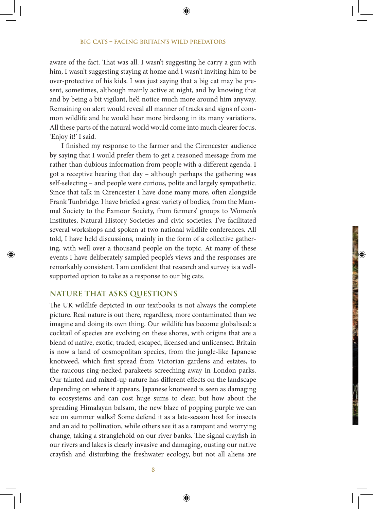aware of the fact. That was all. I wasn't suggesting he carry a gun with him, I wasn't suggesting staying at home and I wasn't inviting him to be over-protective of his kids. I was just saying that a big cat may be present, sometimes, although mainly active at night, and by knowing that and by being a bit vigilant, he'd notice much more around him anyway. Remaining on alert would reveal all manner of tracks and signs of common wildlife and he would hear more birdsong in its many variations. All these parts of the natural world would come into much clearer focus. 'Enjoy it!' I said.

I finished my response to the farmer and the Cirencester audience by saying that I would prefer them to get a reasoned message from me rather than dubious information from people with a different agenda. I got a receptive hearing that day – although perhaps the gathering was self-selecting – and people were curious, polite and largely sympathetic. Since that talk in Cirencester I have done many more, often alongside Frank Tunbridge. I have briefed a great variety of bodies, from the Mammal Society to the Exmoor Society, from farmers' groups to Women's Institutes, Natural History Societies and civic societies. I've facilitated several workshops and spoken at two national wildlife conferences. All told, I have held discussions, mainly in the form of a collective gathering, with well over a thousand people on the topic. At many of these events I have deliberately sampled people's views and the responses are remarkably consistent. I am confident that research and survey is a wellsupported option to take as a response to our big cats.

## **nature that asks questions**

The UK wildlife depicted in our textbooks is not always the complete picture. Real nature is out there, regardless, more contaminated than we imagine and doing its own thing. Our wildlife has become globalised: a cocktail of species are evolving on these shores, with origins that are a blend of native, exotic, traded, escaped, licensed and unlicensed. Britain is now a land of cosmopolitan species, from the jungle-like Japanese knotweed, which first spread from Victorian gardens and estates, to the raucous ring-necked parakeets screeching away in London parks. Our tainted and mixed-up nature has different effects on the landscape depending on where it appears. Japanese knotweed is seen as damaging to ecosystems and can cost huge sums to clear, but how about the spreading Himalayan balsam, the new blaze of popping purple we can see on summer walks? Some defend it as a late-season host for insects and an aid to pollination, while others see it as a rampant and worrying change, taking a stranglehold on our river banks. The signal crayfish in our rivers and lakes is clearly invasive and damaging, ousting our native crayfish and disturbing the freshwater ecology, but not all aliens are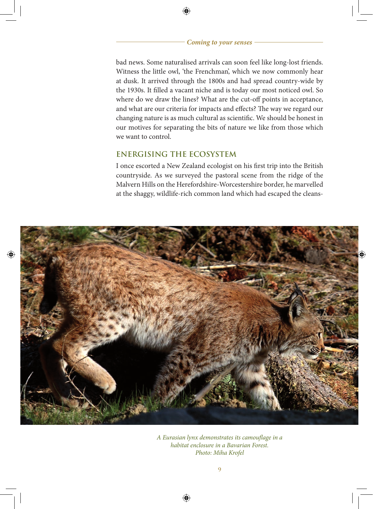bad news. Some naturalised arrivals can soon feel like long-lost friends. Witness the little owl, 'the Frenchman', which we now commonly hear at dusk. It arrived through the 1800s and had spread country-wide by the 1930s. It filled a vacant niche and is today our most noticed owl. So where do we draw the lines? What are the cut-off points in acceptance, and what are our criteria for impacts and effects? The way we regard our changing nature is as much cultural as scientific. We should be honest in our motives for separating the bits of nature we like from those which we want to control.

## **energising the eCosystem**

I once escorted a New Zealand ecologist on his first trip into the British countryside. As we surveyed the pastoral scene from the ridge of the Malvern Hills on the Herefordshire-Worcestershire border, he marvelled at the shaggy, wildlife-rich common land which had escaped the cleans-

![](_page_10_Picture_4.jpeg)

*A Eurasian lynx demonstrates its camouflage in a habitat enclosure in a Bavarian Forest. Photo: Miha Krofel*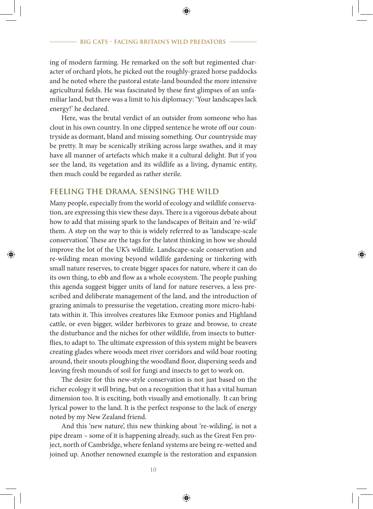ing of modern farming. He remarked on the soft but regimented character of orchard plots, he picked out the roughly-grazed horse paddocks and he noted where the pastoral estate-land bounded the more intensive agricultural fields. He was fascinated by these first glimpses of an unfamiliar land, but there was a limit to his diplomacy: 'Your landscapes lack energy!' he declared.

Here, was the brutal verdict of an outsider from someone who has clout in his own country. In one clipped sentence he wrote off our countryside as dormant, bland and missing something. Our countryside may be pretty. It may be scenically striking across large swathes, and it may have all manner of artefacts which make it a cultural delight. But if you see the land, its vegetation and its wildlife as a living, dynamic entity, then much could be regarded as rather sterile.

## **Feeling the drama, sensing the wild**

Many people, especially from the world of ecology and wildlife conservation, are expressing this view these days. There is a vigorous debate about how to add that missing spark to the landscapes of Britain and 're-wild' them. A step on the way to this is widely referred to as 'landscape-scale conservation'. These are the tags for the latest thinking in how we should improve the lot of the UK's wildlife. Landscape-scale conservation and re-wilding mean moving beyond wildlife gardening or tinkering with small nature reserves, to create bigger spaces for nature, where it can do its own thing, to ebb and flow as a whole ecosystem. The people pushing this agenda suggest bigger units of land for nature reserves, a less prescribed and deliberate management of the land, and the introduction of grazing animals to pressurise the vegetation, creating more micro-habitats within it. This involves creatures like Exmoor ponies and Highland cattle, or even bigger, wilder herbivores to graze and browse, to create the disturbance and the niches for other wildlife, from insects to butterflies, to adapt to. The ultimate expression of this system might be beavers creating glades where woods meet river corridors and wild boar rooting around, their snouts ploughing the woodland floor, dispersing seeds and leaving fresh mounds of soil for fungi and insects to get to work on.

The desire for this new-style conservation is not just based on the richer ecology it will bring, but on a recognition that it has a vital human dimension too. It is exciting, both visually and emotionally. It can bring lyrical power to the land. It is the perfect response to the lack of energy noted by my New Zealand friend.

And this 'new nature', this new thinking about 're-wilding', is not a pipe dream – some of it is happening already, such as the Great Fen project, north of Cambridge, where fenland systems are being re-wetted and joined up. Another renowned example is the restoration and expansion